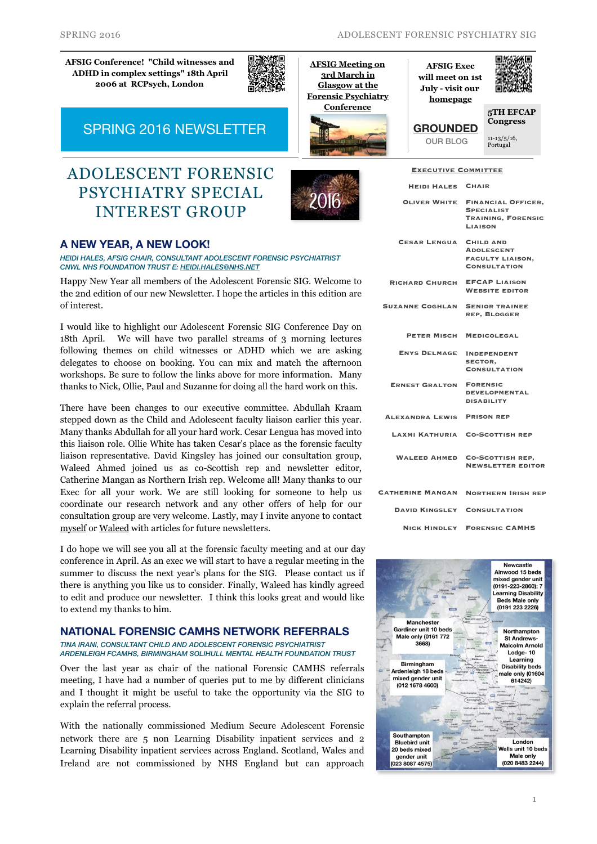**[AFSIG Conference! "Child witnesses and](http://www.rcpsych.ac.uk/traininpsychiatry/conferencestraining/conferences/afsigconference2016.aspx?theme=mobile)  ADHD in complex settings" 18th April 2006 at RCPsych, London**



**AFSIG Meeting on 3rd March in Glasgow at the [Forensic Psychiatry](http://www.rcpsych.ac.uk/traininpsychiatry/conferencestraining/conferences/forensicconference.aspx#FutureDates)** 

**Conference**

**AFSIG Exec will meet on 1st July - visit our [homepage](http://www.rcpsych.ac.uk/workinpsychiatry/specialinterestgroups/adolescentforensicpsychiatry.aspx)**

**[GROUNDED](http://www.rcpsych.ac.uk/workinpsychiatry/specialinterestgroups/adolescentforensicpsychiatry/bloggrounded.aspx)** OUR BLOG

**Executive Committee**



**[5TH EFCAP](http://www.efcap.org/efcap-porto-2016/)  Congress** 11-13/5/16, Portugal

SPRING 2016 NEWSLETTER

# ADOLESCENT FORENSIC PSYCHIATRY SPECIAL INTEREST GROUP



### **A NEW YEAR, A NEW LOOK!**

*HEIDI HALES, AFSIG CHAIR, CONSULTANT ADOLESCENT FORENSIC PSYCHIATRIST CNWL NHS FOUNDATION TRUST E: [HEIDI.HALES@NHS.NET](mailto:heidi.hales@nhs.net)*

Happy New Year all members of the Adolescent Forensic SIG. Welcome to the 2nd edition of our new Newsletter. I hope the articles in this edition are of interest.

I would like to highlight our Adolescent Forensic SIG Conference Day on 18th April. We will have two parallel streams of 3 morning lectures following themes on child witnesses or ADHD which we are asking delegates to choose on booking. You can mix and match the afternoon workshops. Be sure to follow the links above for more information. Many thanks to Nick, Ollie, Paul and Suzanne for doing all the hard work on this.

There have been changes to our executive committee. Abdullah Kraam stepped down as the Child and Adolescent faculty liaison earlier this year. Many thanks Abdullah for all your hard work. Cesar Lengua has moved into this liaison role. Ollie White has taken Cesar's place as the forensic faculty liaison representative. David Kingsley has joined our consultation group, Waleed Ahmed joined us as co-Scottish rep and newsletter editor, Catherine Mangan as Northern Irish rep. Welcome all! Many thanks to our Exec for all your work. We are still looking for someone to help us coordinate our research network and any other offers of help for our consultation group are very welcome. Lastly, may I invite anyone to contact [myself](mailto:heidi.hales@nhs.net) or [Waleed](mailto:waleedahmed@nhs.net) with articles for future newsletters.

I do hope we will see you all at the forensic faculty meeting and at our day conference in April. As an exec we will start to have a regular meeting in the summer to discuss the next year's plans for the SIG. Please contact us if there is anything you like us to consider. Finally, Waleed has kindly agreed to edit and produce our newsletter. I think this looks great and would like to extend my thanks to him.

#### **NATIONAL FORENSIC CAMHS NETWORK REFERRALS**  *TINA IRANI, CONSULTANT CHILD AND ADOLESCENT FORENSIC PSYCHIATRIST*

*ARDENLEIGH FCAMHS, BIRMINGHAM SOLIHULL MENTAL HEALTH FOUNDATION TRUST*

Over the last year as chair of the national Forensic CAMHS referrals meeting, I have had a number of queries put to me by different clinicians and I thought it might be useful to take the opportunity via the SIG to explain the referral process.

With the nationally commissioned Medium Secure Adolescent Forensic network there are 5 non Learning Disability inpatient services and 2 Learning Disability inpatient services across England. Scotland, Wales and Ireland are not commissioned by NHS England but can approach

| <b>HEIDI HALES CHAIR</b> |                                                                                               |
|--------------------------|-----------------------------------------------------------------------------------------------|
| <b>OLIVER WHITE</b>      | <b>FINANCIAL OFFICER,</b><br><b>SPECIALIST</b><br><b>TRAINING, FORENSIC</b><br><b>LIAISON</b> |
| <b>CESAR LENGUA</b>      | <b>CHILD AND</b><br><b>ADOLESCENT</b><br><b>FACULTY LIAISON.</b><br><b>CONSULTATION</b>       |
| <b>RICHARD CHURCH</b>    | <b>EFCAP LIAISON</b><br><b>WEBSITE EDITOR</b>                                                 |
| <b>SUZANNE COGHLAN</b>   | <b>SENIOR TRAINEE</b><br><b>REP, BLOGGER</b>                                                  |
| PETER MISCH              | <b>MEDICOLEGAL</b>                                                                            |
| <b>ENYS DELMAGE</b>      | <b>INDEPENDENT</b><br><b>SECTOR.</b><br><b>CONSULTATION</b>                                   |
| <b>ERNEST GRALTON</b>    | <b>FORENSIC</b><br><b>DEVELOPMENTAL</b><br><b>DISABILITY</b>                                  |
| <b>ALEXANDRA LEWIS</b>   | <b>PRISON REP</b>                                                                             |
| LAXMI KATHURIA           | <b>CO-SCOTTISH REP</b>                                                                        |
| <b>WALEED AHMED</b>      | <b>CO-SCOTTISH REP.</b><br><b>NEWSLETTER EDITOR</b>                                           |
| <b>CATHERINE MANGAN</b>  | <b>NORTHERN IRISH REP</b>                                                                     |
| <b>DAVID KINGSLEY</b>    | <b>CONSULTATION</b>                                                                           |
| <b>NICK HINDLEY</b>      | <b>FORENSIC CAMHS</b>                                                                         |